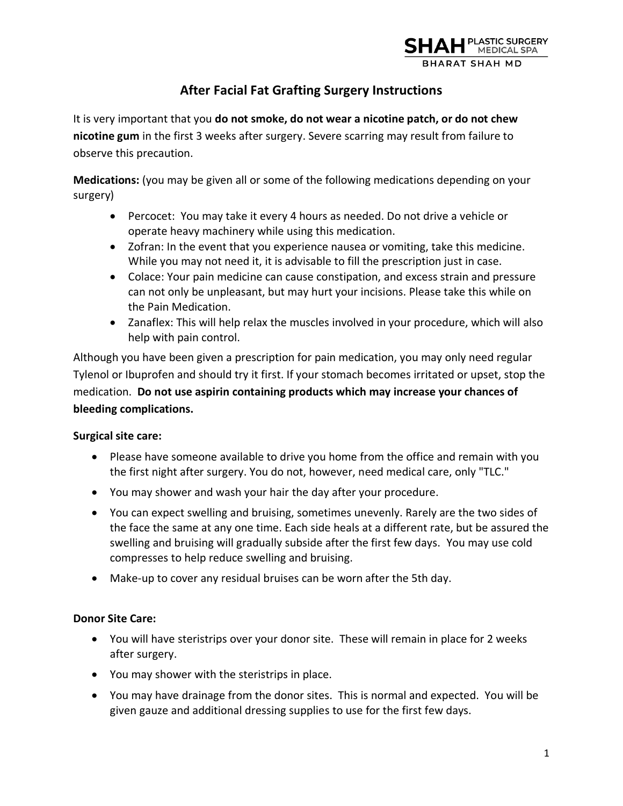

# **After Facial Fat Grafting Surgery Instructions**

It is very important that you **do not smoke, do not wear a nicotine patch, or do not chew nicotine gum** in the first 3 weeks after surgery. Severe scarring may result from failure to observe this precaution.

**Medications:** (you may be given all or some of the following medications depending on your surgery)

- Percocet: You may take it every 4 hours as needed. Do not drive a vehicle or operate heavy machinery while using this medication.
- Zofran: In the event that you experience nausea or vomiting, take this medicine. While you may not need it, it is advisable to fill the prescription just in case.
- Colace: Your pain medicine can cause constipation, and excess strain and pressure can not only be unpleasant, but may hurt your incisions. Please take this while on the Pain Medication.
- Zanaflex: This will help relax the muscles involved in your procedure, which will also help with pain control.

Although you have been given a prescription for pain medication, you may only need regular Tylenol or Ibuprofen and should try it first. If your stomach becomes irritated or upset, stop the medication. **Do not use aspirin containing products which may increase your chances of bleeding complications.** 

# **Surgical site care:**

- Please have someone available to drive you home from the office and remain with you the first night after surgery. You do not, however, need medical care, only "TLC."
- You may shower and wash your hair the day after your procedure.
- You can expect swelling and bruising, sometimes unevenly. Rarely are the two sides of the face the same at any one time. Each side heals at a different rate, but be assured the swelling and bruising will gradually subside after the first few days. You may use cold compresses to help reduce swelling and bruising.
- Make-up to cover any residual bruises can be worn after the 5th day.

# **Donor Site Care:**

- You will have steristrips over your donor site. These will remain in place for 2 weeks after surgery.
- You may shower with the steristrips in place.
- You may have drainage from the donor sites. This is normal and expected. You will be given gauze and additional dressing supplies to use for the first few days.